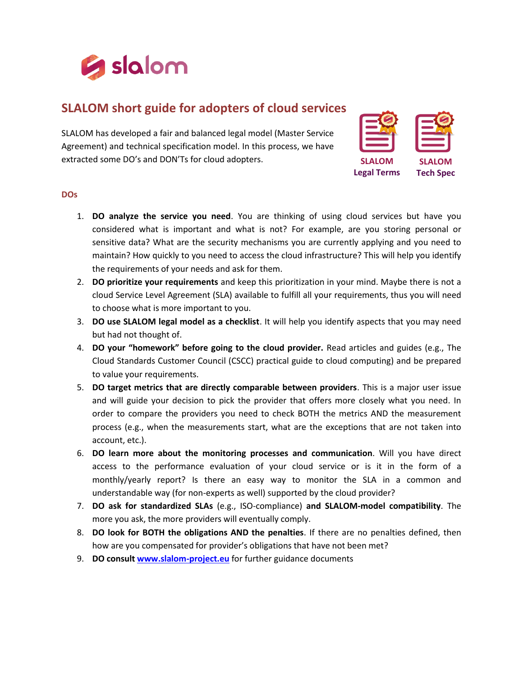

## **SLALOM short guide for adopters of cloud services**

SLALOM has developed a fair and balanced legal model (Master Service Agreement) and technical specification model. In this process, we have extracted some DO's and DON'Ts for cloud adopters.

| <b>SLA</b> |
|------------|
|            |
|            |

**Legal Terms**

**SLALOM Tech Spec**

## **DOs**

- 1. **DO analyze the service you need**. You are thinking of using cloud services but have you considered what is important and what is not? For example, are you storing personal or sensitive data? What are the security mechanisms you are currently applying and you need to maintain? How quickly to you need to access the cloud infrastructure? This will help you identify the requirements of your needs and ask for them.
- 2. **DO prioritize your requirements** and keep this prioritization in your mind. Maybe there is not a cloud Service Level Agreement (SLA) available to fulfill all your requirements, thus you will need to choose what is more important to you.
- 3. **DO use SLALOM legal model as a checklist**. It will help you identify aspects that you may need but had not thought of.
- 4. **DO your "homework" before going to the cloud provider.** Read articles and guides (e.g., The Cloud Standards Customer Council (CSCC) practical guide to cloud computing) and be prepared to value your requirements.
- 5. **DO target metrics that are directly comparable between providers**. This is a major user issue and will guide your decision to pick the provider that offers more closely what you need. In order to compare the providers you need to check BOTH the metrics AND the measurement process (e.g., when the measurements start, what are the exceptions that are not taken into account, etc.).
- 6. **DO learn more about the monitoring processes and communication**. Will you have direct access to the performance evaluation of your cloud service or is it in the form of a monthly/yearly report? Is there an easy way to monitor the SLA in a common and understandable way (for non-experts as well) supported by the cloud provider?
- 7. **DO ask for standardized SLAs** (e.g., ISO-compliance) **and SLALOM-model compatibility**. The more you ask, the more providers will eventually comply.
- 8. **DO look for BOTH the obligations AND the penalties**. If there are no penalties defined, then how are you compensated for provider's obligations that have not been met?
- 9. **DO consul[t www.slalom-project.eu](http://www.slalom-project.eu/)** for further guidance documents